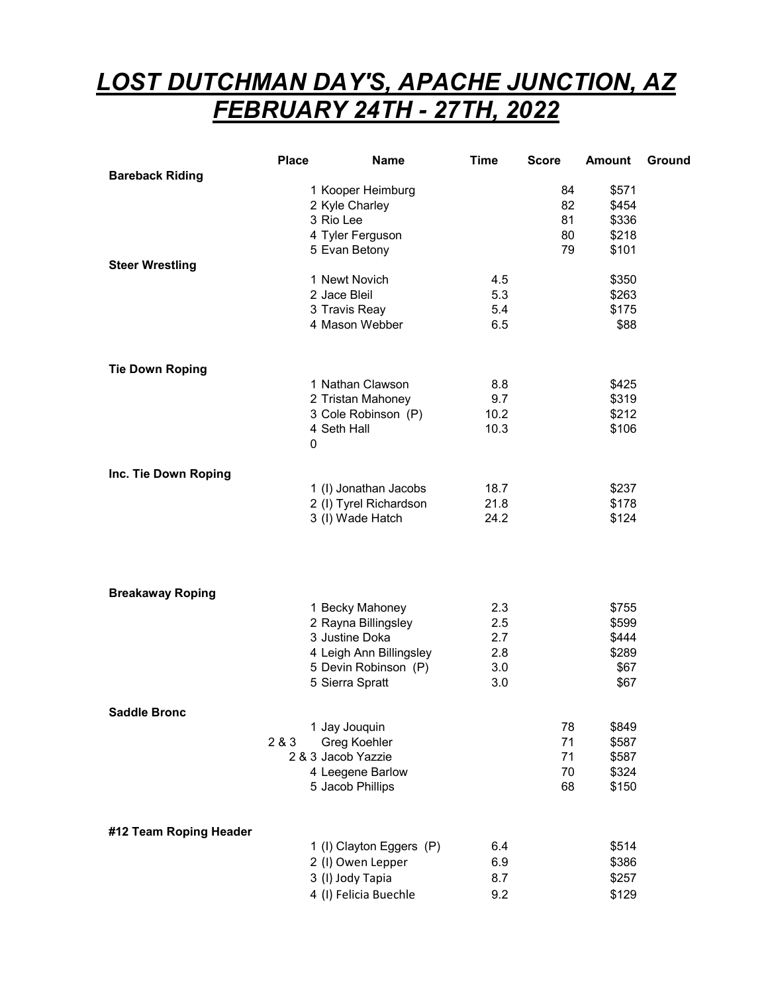## LOST DUTCHMAN DAY'S, APACHE JUNCTION, AZ FEBRUARY 24TH - 27TH, 2022

|                         | <b>Place</b>      | <b>Name</b>                                     | <b>Time</b> | <b>Score</b> | <b>Amount</b>  | Ground |
|-------------------------|-------------------|-------------------------------------------------|-------------|--------------|----------------|--------|
| <b>Bareback Riding</b>  |                   |                                                 |             |              |                |        |
|                         | 1 Kooper Heimburg |                                                 |             | 84           | \$571          |        |
|                         | 3 Rio Lee         | 2 Kyle Charley                                  |             | 82<br>81     | \$454<br>\$336 |        |
|                         |                   | 4 Tyler Ferguson                                |             | 80           | \$218          |        |
|                         |                   | 5 Evan Betony                                   |             | 79           | \$101          |        |
| <b>Steer Wrestling</b>  |                   |                                                 |             |              |                |        |
|                         |                   | 1 Newt Novich                                   | 4.5         |              | \$350          |        |
|                         |                   | 2 Jace Bleil                                    | 5.3         |              | \$263          |        |
|                         |                   | 3 Travis Reay                                   | 5.4         |              | \$175          |        |
|                         |                   | 4 Mason Webber                                  | 6.5         |              | \$88           |        |
| <b>Tie Down Roping</b>  |                   |                                                 |             |              |                |        |
|                         |                   | 1 Nathan Clawson                                | 8.8         |              | \$425          |        |
|                         |                   | 2 Tristan Mahoney                               | 9.7         |              | \$319          |        |
|                         |                   | 3 Cole Robinson (P)                             | 10.2        |              | \$212          |        |
|                         | 4 Seth Hall       |                                                 | 10.3        |              | \$106          |        |
|                         | 0                 |                                                 |             |              |                |        |
|                         |                   |                                                 |             |              |                |        |
| Inc. Tie Down Roping    |                   |                                                 | 18.7        |              | \$237          |        |
|                         |                   | 1 (I) Jonathan Jacobs<br>2 (I) Tyrel Richardson | 21.8        |              | \$178          |        |
|                         |                   | 3 (I) Wade Hatch                                | 24.2        |              | \$124          |        |
|                         |                   |                                                 |             |              |                |        |
| <b>Breakaway Roping</b> |                   |                                                 |             |              |                |        |
|                         |                   | 1 Becky Mahoney                                 | 2.3         |              | \$755          |        |
|                         |                   | 2 Rayna Billingsley                             | 2.5         |              | \$599          |        |
|                         |                   | 3 Justine Doka                                  | 2.7         |              | \$444          |        |
|                         |                   | 4 Leigh Ann Billingsley<br>5 Devin Robinson (P) | 2.8<br>3.0  |              | \$289<br>\$67  |        |
|                         |                   | 5 Sierra Spratt                                 | 3.0         |              | \$67           |        |
|                         |                   |                                                 |             |              |                |        |
| <b>Saddle Bronc</b>     |                   |                                                 |             |              |                |        |
|                         |                   | 1 Jay Jouquin                                   |             | 78           | \$849          |        |
|                         | 2 & 3             | Greg Koehler                                    |             | 71           | \$587          |        |
|                         |                   | 2 & 3 Jacob Yazzie                              |             | 71           | \$587          |        |
|                         |                   | 4 Leegene Barlow                                |             | 70           | \$324          |        |
|                         |                   | 5 Jacob Phillips                                |             | 68           | \$150          |        |
| #12 Team Roping Header  |                   |                                                 |             |              |                |        |
|                         |                   | 1 (I) Clayton Eggers (P)                        | 6.4         |              | \$514          |        |
|                         |                   | 2 (I) Owen Lepper                               | 6.9         |              | \$386          |        |
|                         |                   | 3 (I) Jody Tapia                                | 8.7         |              | \$257          |        |
|                         |                   | 4 (I) Felicia Buechle                           | 9.2         |              | \$129          |        |